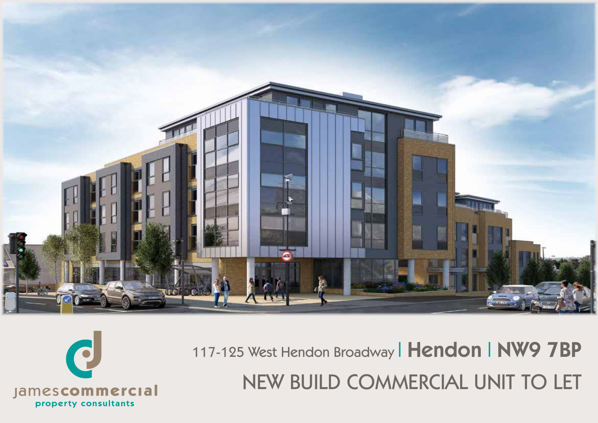

117-125 West Hendon Broadway | Hendon | NW9 7BP NEW BUILD COMMERCIAL UNIT TO LET